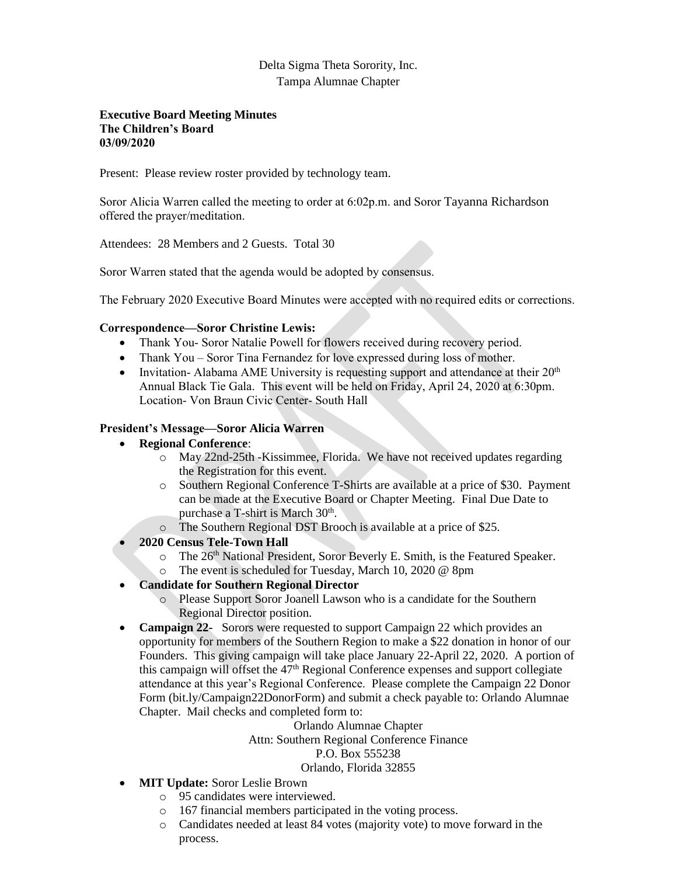# Delta Sigma Theta Sorority, Inc. Tampa Alumnae Chapter

#### **Executive Board Meeting Minutes The Children's Board 03/09/2020**

Present: Please review roster provided by technology team.

Soror Alicia Warren called the meeting to order at 6:02p.m. and Soror Tayanna Richardson offered the prayer/meditation.

Attendees: 28 Members and 2 Guests. Total 30

Soror Warren stated that the agenda would be adopted by consensus.

The February 2020 Executive Board Minutes were accepted with no required edits or corrections.

## **Correspondence—Soror Christine Lewis:**

- Thank You- Soror Natalie Powell for flowers received during recovery period.
- Thank You Soror Tina Fernandez for love expressed during loss of mother.
- Invitation- Alabama AME University is requesting support and attendance at their  $20<sup>th</sup>$ Annual Black Tie Gala. This event will be held on Friday, April 24, 2020 at 6:30pm. Location- Von Braun Civic Center- South Hall

## **President's Message—Soror Alicia Warren**

- **Regional Conference**:
	- o May 22nd-25th -Kissimmee, Florida. We have not received updates regarding the Registration for this event.
	- o Southern Regional Conference T-Shirts are available at a price of \$30. Payment can be made at the Executive Board or Chapter Meeting. Final Due Date to purchase a T-shirt is March 30<sup>th</sup>.
	- o The Southern Regional DST Brooch is available at a price of \$25.
- **2020 Census Tele-Town Hall**
	- o The 26<sup>th</sup> National President, Soror Beverly E. Smith, is the Featured Speaker.
	- o The event is scheduled for Tuesday, March 10, 2020 @ 8pm
- **Candidate for Southern Regional Director**
	- o Please Support Soror Joanell Lawson who is a candidate for the Southern Regional Director position.
- **Campaign 22-** Sorors were requested to support Campaign 22 which provides an opportunity for members of the Southern Region to make a \$22 donation in honor of our Founders. This giving campaign will take place January 22-April 22, 2020. A portion of this campaign will offset the  $47<sup>th</sup>$  Regional Conference expenses and support collegiate attendance at this year's Regional Conference. Please complete the Campaign 22 Donor Form (bit.ly/Campaign22DonorForm) and submit a check payable to: Orlando Alumnae Chapter. Mail checks and completed form to:

# Orlando Alumnae Chapter Attn: Southern Regional Conference Finance P.O. Box 555238

#### Orlando, Florida 32855

- **MIT Update:** Soror Leslie Brown
	- o 95 candidates were interviewed.
	- o 167 financial members participated in the voting process.
	- o Candidates needed at least 84 votes (majority vote) to move forward in the process.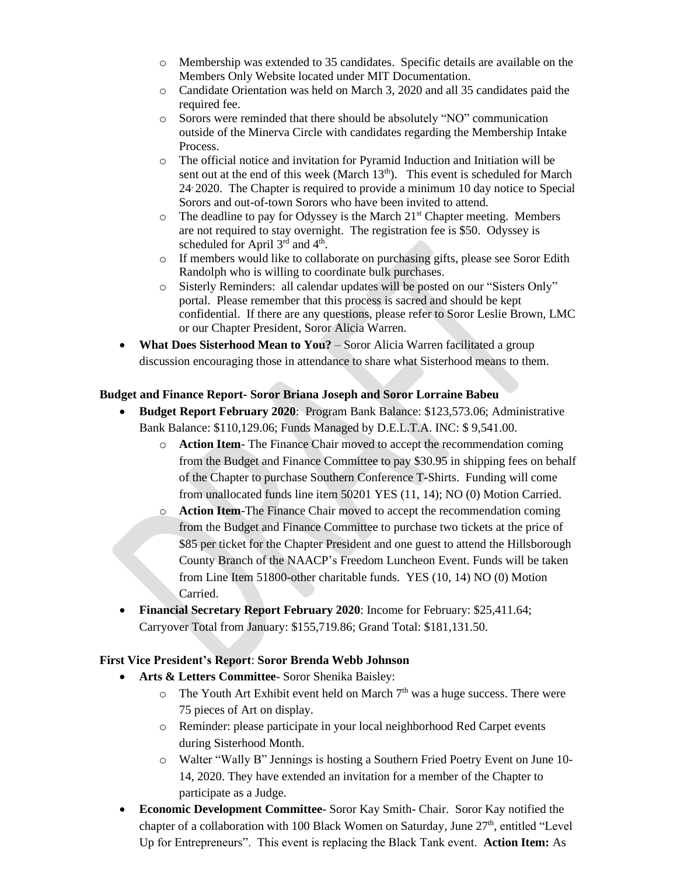- o Membership was extended to 35 candidates. Specific details are available on the Members Only Website located under MIT Documentation.
- o Candidate Orientation was held on March 3, 2020 and all 35 candidates paid the required fee.
- o Sorors were reminded that there should be absolutely "NO" communication outside of the Minerva Circle with candidates regarding the Membership Intake Process.
- o The official notice and invitation for Pyramid Induction and Initiation will be sent out at the end of this week (March  $13<sup>th</sup>$ ). This event is scheduled for March 24, 2020. The Chapter is required to provide a minimum 10 day notice to Special Sorors and out-of-town Sorors who have been invited to attend.
- $\circ$  The deadline to pay for Odyssey is the March 21<sup>st</sup> Chapter meeting. Members are not required to stay overnight. The registration fee is \$50. Odyssey is scheduled for April  $3<sup>rd</sup>$  and  $4<sup>th</sup>$ .
- o If members would like to collaborate on purchasing gifts, please see Soror Edith Randolph who is willing to coordinate bulk purchases.
- o Sisterly Reminders: all calendar updates will be posted on our "Sisters Only" portal. Please remember that this process is sacred and should be kept confidential. If there are any questions, please refer to Soror Leslie Brown, LMC or our Chapter President, Soror Alicia Warren.
- **What Does Sisterhood Mean to You?** Soror Alicia Warren facilitated a group discussion encouraging those in attendance to share what Sisterhood means to them.

#### **Budget and Finance Report- Soror Briana Joseph and Soror Lorraine Babeu**

- **Budget Report February 2020**: Program Bank Balance: \$123,573.06; Administrative Bank Balance: \$110,129.06; Funds Managed by D.E.L.T.A. INC: \$ 9,541.00.
	- o **Action Item** The Finance Chair moved to accept the recommendation coming from the Budget and Finance Committee to pay \$30.95 in shipping fees on behalf of the Chapter to purchase Southern Conference T-Shirts. Funding will come from unallocated funds line item 50201 YES (11, 14); NO (0) Motion Carried.
	- o **Action Item**-The Finance Chair moved to accept the recommendation coming from the Budget and Finance Committee to purchase two tickets at the price of \$85 per ticket for the Chapter President and one guest to attend the Hillsborough County Branch of the NAACP's Freedom Luncheon Event. Funds will be taken from Line Item 51800-other charitable funds. YES (10, 14) NO (0) Motion Carried.
- **Financial Secretary Report February 2020**: Income for February: \$25,411.64; Carryover Total from January: \$155,719.86; Grand Total: \$181,131.50.

#### **First Vice President's Report**: **Soror Brenda Webb Johnson**

- **Arts & Letters Committee** Soror Shenika Baisley:
	- $\circ$  The Youth Art Exhibit event held on March  $7<sup>th</sup>$  was a huge success. There were 75 pieces of Art on display.
	- o Reminder: please participate in your local neighborhood Red Carpet events during Sisterhood Month.
	- o Walter "Wally B" Jennings is hosting a Southern Fried Poetry Event on June 10- 14, 2020. They have extended an invitation for a member of the Chapter to participate as a Judge.
- **Economic Development Committee** Soror Kay Smith- Chair. Soror Kay notified the chapter of a collaboration with 100 Black Women on Saturday, June 27<sup>th</sup>, entitled "Level Up for Entrepreneurs". This event is replacing the Black Tank event. **Action Item:** As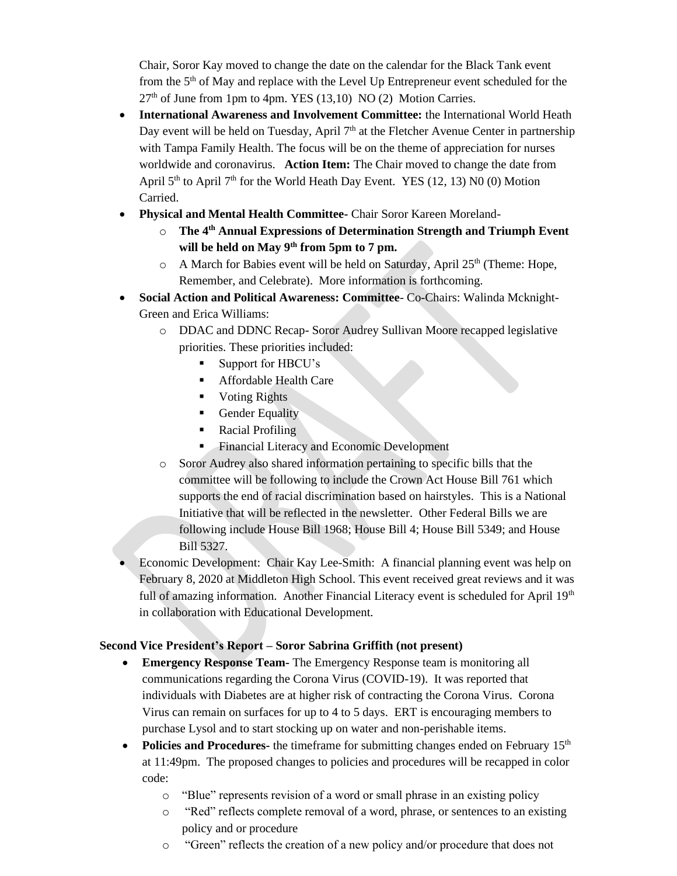Chair, Soror Kay moved to change the date on the calendar for the Black Tank event from the  $5<sup>th</sup>$  of May and replace with the Level Up Entrepreneur event scheduled for the 27<sup>th</sup> of June from 1pm to 4pm. YES (13,10) NO (2) Motion Carries.

- **International Awareness and Involvement Committee:** the International World Heath Day event will be held on Tuesday, April  $7<sup>th</sup>$  at the Fletcher Avenue Center in partnership with Tampa Family Health. The focus will be on the theme of appreciation for nurses worldwide and coronavirus. **Action Item:** The Chair moved to change the date from April  $5<sup>th</sup>$  to April  $7<sup>th</sup>$  for the World Heath Day Event. YES (12, 13) N0 (0) Motion Carried.
- **Physical and Mental Health Committee-** Chair Soror Kareen Moreland
	- o **The 4 th Annual Expressions of Determination Strength and Triumph Event will be held on May 9th from 5pm to 7 pm.**
	- $\circ$  A March for Babies event will be held on Saturday, April 25<sup>th</sup> (Theme: Hope, Remember, and Celebrate). More information is forthcoming.
- **Social Action and Political Awareness: Committee** Co-Chairs: Walinda Mcknight-Green and Erica Williams:
	- o DDAC and DDNC Recap- Soror Audrey Sullivan Moore recapped legislative priorities. These priorities included:
		- Support for HBCU's
		- Affordable Health Care
		- Voting Rights
		- **•** Gender Equality
		- Racial Profiling
		- **Exercise Exercise Exercise System** Financial Literacy and Economic Development
	- o Soror Audrey also shared information pertaining to specific bills that the committee will be following to include the Crown Act House Bill 761 which supports the end of racial discrimination based on hairstyles. This is a National Initiative that will be reflected in the newsletter. Other Federal Bills we are following include House Bill 1968; House Bill 4; House Bill 5349; and House Bill 5327.
- Economic Development: Chair Kay Lee-Smith: A financial planning event was help on February 8, 2020 at Middleton High School. This event received great reviews and it was full of amazing information. Another Financial Literacy event is scheduled for April  $19<sup>th</sup>$ in collaboration with Educational Development.

# **Second Vice President's Report – Soror Sabrina Griffith (not present)**

- **Emergency Response Team-** The Emergency Response team is monitoring all communications regarding the Corona Virus (COVID-19). It was reported that individuals with Diabetes are at higher risk of contracting the Corona Virus. Corona Virus can remain on surfaces for up to 4 to 5 days. ERT is encouraging members to purchase Lysol and to start stocking up on water and non-perishable items.
- **Policies and Procedures-** the timeframe for submitting changes ended on February 15<sup>th</sup> at 11:49pm. The proposed changes to policies and procedures will be recapped in color code:
	- o "Blue" represents revision of a word or small phrase in an existing policy
	- o "Red" reflects complete removal of a word, phrase, or sentences to an existing policy and or procedure
	- o "Green" reflects the creation of a new policy and/or procedure that does not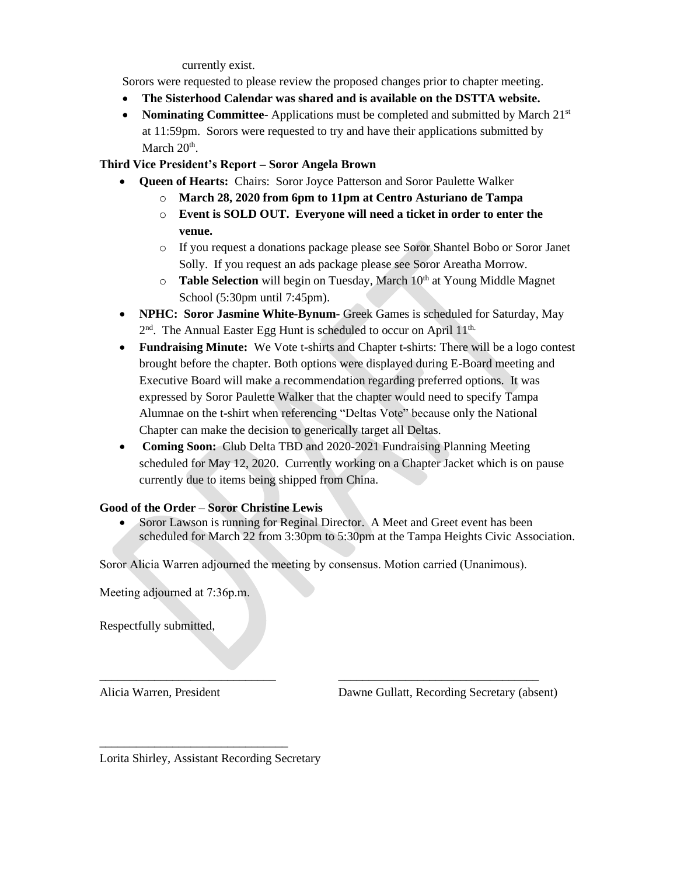currently exist.

Sorors were requested to please review the proposed changes prior to chapter meeting.

- **The Sisterhood Calendar was shared and is available on the DSTTA website.**
- Nominating Committee-Applications must be completed and submitted by March 21<sup>st</sup> at 11:59pm. Sorors were requested to try and have their applications submitted by March  $20<sup>th</sup>$ .

**Third Vice President's Report – Soror Angela Brown**

- **Queen of Hearts:** Chairs: Soror Joyce Patterson and Soror Paulette Walker
	- o **March 28, 2020 from 6pm to 11pm at Centro Asturiano de Tampa**
	- o **Event is SOLD OUT. Everyone will need a ticket in order to enter the venue.**
	- o If you request a donations package please see Soror Shantel Bobo or Soror Janet Solly. If you request an ads package please see Soror Areatha Morrow.
	- o **Table Selection** will begin on Tuesday, March 10<sup>th</sup> at Young Middle Magnet School (5:30pm until 7:45pm).
- **NPHC: Soror Jasmine White-Bynum-** Greek Games is scheduled for Saturday, May 2<sup>nd</sup>. The Annual Easter Egg Hunt is scheduled to occur on April 11<sup>th.</sup>
- **Fundraising Minute:** We Vote t-shirts and Chapter t-shirts: There will be a logo contest brought before the chapter. Both options were displayed during E-Board meeting and Executive Board will make a recommendation regarding preferred options. It was expressed by Soror Paulette Walker that the chapter would need to specify Tampa Alumnae on the t-shirt when referencing "Deltas Vote" because only the National Chapter can make the decision to generically target all Deltas.
- **Coming Soon:** Club Delta TBD and 2020-2021 Fundraising Planning Meeting scheduled for May 12, 2020. Currently working on a Chapter Jacket which is on pause currently due to items being shipped from China.

# **Good of the Order** – **Soror Christine Lewis**

• Soror Lawson is running for Reginal Director. A Meet and Greet event has been scheduled for March 22 from 3:30pm to 5:30pm at the Tampa Heights Civic Association.

Soror Alicia Warren adjourned the meeting by consensus. Motion carried (Unanimous).

\_\_\_\_\_\_\_\_\_\_\_\_\_\_\_\_\_\_\_\_\_\_\_\_\_\_\_\_\_ \_\_\_\_\_\_\_\_\_\_\_\_\_\_\_\_\_\_\_\_\_\_\_\_\_\_\_\_\_\_\_\_\_

Meeting adjourned at 7:36p.m.

Respectfully submitted,

Alicia Warren, President Dawne Gullatt, Recording Secretary (absent)

Lorita Shirley, Assistant Recording Secretary

\_\_\_\_\_\_\_\_\_\_\_\_\_\_\_\_\_\_\_\_\_\_\_\_\_\_\_\_\_\_\_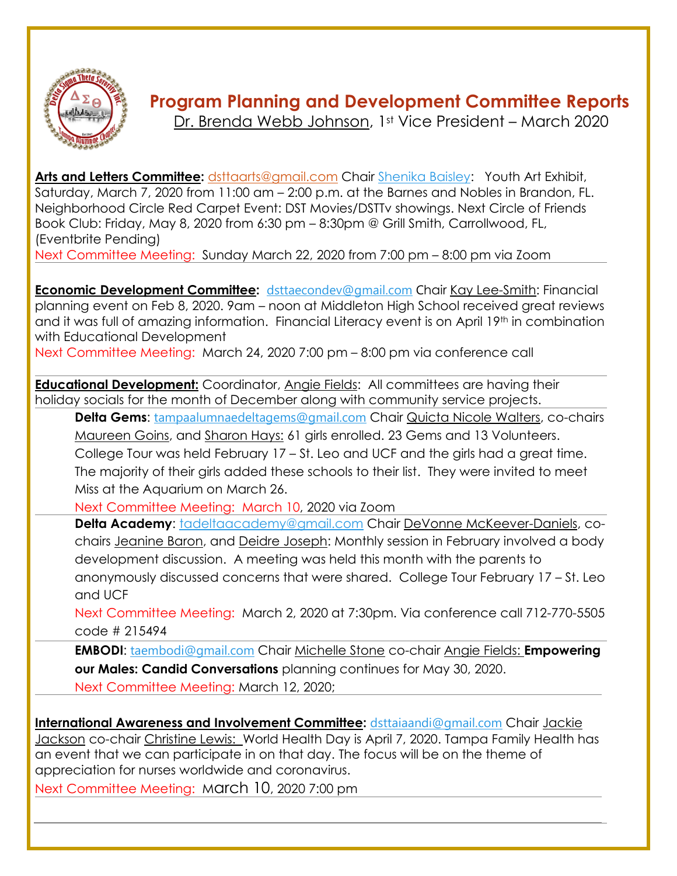

# **Program Planning and Development Committee Reports**

[Dr. Brenda Webb Johnson,](mailto:firstvp@dstta.com) 1st Vice President – March 2020

**[Arts and Letters Committee:](https://members.dstonline.org/National-Area#arts)** [dsttaarts@gmail.com](mailto:dsttaarts@gmail.com) Chair [Shenika Baisley:](mailto:sbaisley33@gmail.com) Youth Art Exhibit, Saturday, March 7, 2020 from 11:00 am – 2:00 p.m. at the Barnes and Nobles in Brandon, FL. Neighborhood Circle Red Carpet Event: DST Movies/DSTTv showings. Next Circle of Friends Book Club: Friday, May 8, 2020 from 6:30 pm – 8:30pm @ Grill Smith, Carrollwood, FL, (Eventbrite Pending)

Next Committee Meeting: Sunday March 22, 2020 from 7:00 pm – 8:00 pm via Zoom

**[Economic Development Committee:](http://deltasigmatheta.org/economic.html)** [dsttaecondev@gmail.com](mailto:dsttaecondev@gmail.com) Chair [Kay Lee-Smith:](mailto:klee2345@msn.com) Financial planning event on Feb 8, 2020. 9am – noon at Middleton High School received great reviews and it was full of amazing information. Financial Literacy event is on April 19<sup>th</sup> in combination with Educational Development

Next Committee Meeting: March 24, 2020 7:00 pm – 8:00 pm via conference call

**[Educational Development:](https://www.deltasigmatheta.org/educational.html)** Coordinator, [Angie Fields:](mailto:angie.l.fields@gmail.com) All committees are having their holiday socials for the month of December along with community service projects.

**Delta Gems:** [tampaalumnaedeltagems@gmail.com](mailto:tampaalumnaedeltagems@gmail.com) Chair [Quicta Nicole Walters,](mailto:tampaalumnaedeltagems@gmail.com) co-chairs [Maureen Goins,](mailto:maureengoins@yahoo.com) and [Sharon Hays:](mailto:semple8@hotmail.com) 61 girls enrolled. 23 Gems and 13 Volunteers. College Tour was held February 17 – St. Leo and UCF and the girls had a great time. The majority of their girls added these schools to their list. They were invited to meet Miss at the Aquarium on March 26.

Next Committee Meeting: March 10, 2020 via Zoom

**Delta Academy**: [tadeltaacademy@gmail.com](mailto:tadeltaacademy@gmail.com) Chair [DeVonne McKeever-Daniels,](mailto:devonnemc9@gmail.com) cochairs [Jeanine Baron,](mailto:jeaninebaron@yahoo.com) and Deidre [Joseph:](mailto:djoseph173@aol.com) Monthly session in February involved a body development discussion. A meeting was held this month with the parents to anonymously discussed concerns that were shared. College Tour February 17 – St. Leo and UCF

Next Committee Meeting: March 2, 2020 at 7:30pm. Via conference call 712-770-5505 code # 215494

**EMBODI:** [taembodi@gmail.com](mailto:taembodi@gmail.com) Chair [Michelle Stone](mailto:famurat1990@aol.com) co-chair [Angie Fields:](mailto:angie.l.fields@gmail.com) **Empowering our Males: Candid Conversations** planning continues for May 30, 2020. Next Committee Meeting: March 12, 2020;

**[International Awareness and Involvement Committee:](https://www.deltasigmatheta.org/international.html)** [dsttaiaandi@gmail.com](mailto:dsttaiaandi@gmail.com) Chair [Jackie](mailto:msj626@aol.com)  [Jackson](mailto:msj626@aol.com) co-chair [Christine Lewis:](mailto:cj2lewis@yahoo.com) World Health Day is April 7, 2020. Tampa Family Health has an event that we can participate in on that day. The focus will be on the theme of appreciation for nurses worldwide and coronavirus.

Next Committee Meeting: March 10, 2020 7:00 pm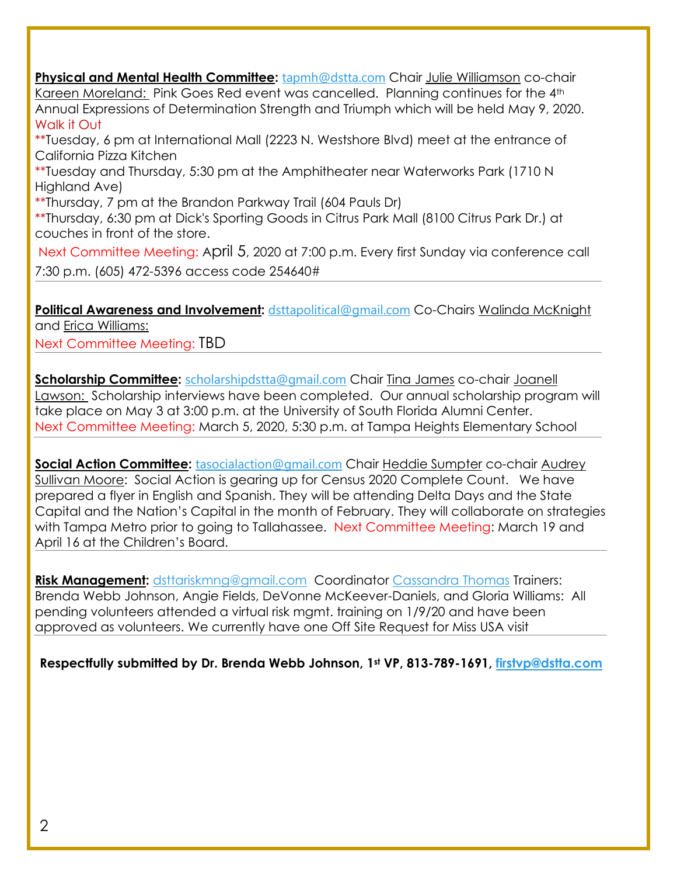**[Physical and Mental Health Committee:](http://deltasigmatheta.org/health.html)** [tapmh@dstta.com](mailto:tapmh@dstta.com) Chair [Julie Williamson](mailto:juliewilliamson2003@icloud.com) co-chair [Kareen Moreland:](mailto:kareenw_nylife@yahoo.com) Pink Goes Red event was cancelled. Planning continues for the 4<sup>th</sup> Annual Expressions of Determination Strength and Triumph which will be held May 9, 2020. Walk it Out

\*\*Tuesday, 6 pm at International Mall (2223 N. Westshore Blvd) meet at the entrance of California Pizza Kitchen

\*\*Tuesday and Thursday, 5:30 pm at the Amphitheater near Waterworks Park (1710 N Highland Ave)

\*\*Thursday, 7 pm at the Brandon Parkway Trail (604 Pauls Dr)

\*\*Thursday, 6:30 pm at Dick's Sporting Goods in Citrus Park Mall (8100 Citrus Park Dr.) at couches in front of the store.

Next Committee Meeting: April 5, 2020 at 7:00 p.m. Every first Sunday via conference call 7:30 p.m. (605) 472-5396 access code 254640#

**[Political Awareness and Involvement:](mailto:Political%20Awareness%20and%20Involvement)** [dsttapolitical@gmail.com](mailto:dsttapolitical@gmail.com) Co-Chairs [Walinda McKnight](mailto:walindamckgr@msn.com) and Erica Williams:

Next Committee Meeting: TBD

**[Scholarship Committee:](https://members.dstonline.org/National-Area#scholar)** [scholarshipdstta@gmail.com](mailto:scholarshipdstta@gmail.com) Chair [Tina James](mailto:tee_jay10@hotmail.com) co-chair [Joanell](mailto:jazdst10@msn.com)  [Lawson:](mailto:jazdst10@msn.com) Scholarship interviews have been completed. Our annual scholarship program will take place on May 3 at 3:00 p.m. at the University of South Florida Alumni Center. Next Committee Meeting: March 5, 2020, 5:30 p.m. at Tampa Heights Elementary School

**[Social Action Committee:](hhttps://members.dstonline.org/National-Area#social)** [tasocialaction@gmail.com](mailto:tasocialaction@gmail.com) Chair [Heddie Sumpter](mailto:hmshollywd1@gmail.com) co-chair [Audrey](mailto:mammamooreasm@gmail.com)  [Sullivan Moore:](mailto:mammamooreasm@gmail.com) Social Action is gearing up for Census 2020 Complete Count. We have prepared a flyer in English and Spanish. They will be attending Delta Days and the State Capital and the Nation's Capital in the month of February. They will collaborate on strategies with Tampa Metro prior to going to Tallahassee. Next Committee Meeting: March 19 and April 16 at the Children's Board.

**[Risk Management:](https://members.dstonline.org/getmedia/b3270cc4-04eb-4af4-8717-e876aa303f2e/Risk-Management-Manual-September-2017_Amended.pdf)** [dsttariskmng@gmail.com](mailto:dsttariskmng@gmail.com) Coordinator [Cassandra Thomas](mailto:bbzephyr01@aol.com) Trainers: Brenda Webb Johnson, Angie Fields, DeVonne McKeever-Daniels, and Gloria Williams: All pending volunteers attended a virtual risk mgmt. training on 1/9/20 and have been approved as volunteers. We currently have one Off Site Request for Miss USA visit

**Respectfully submitted by Dr. Brenda Webb Johnson, 1st VP, 813-789-1691, [firstvp@dstta.com](mailto:firstvp@dstta.com)**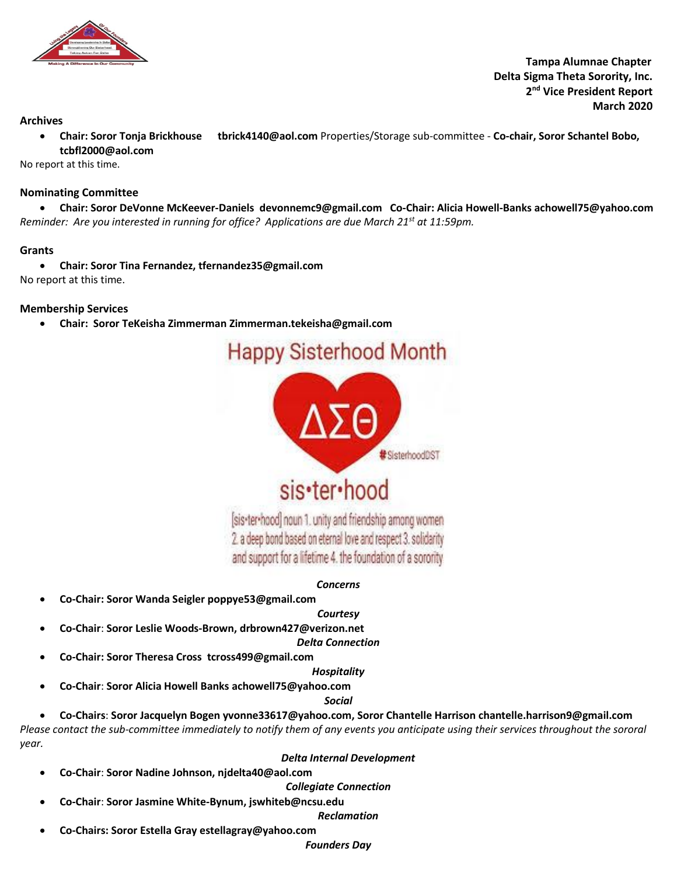

 **Tampa Alumnae Chapter Delta Sigma Theta Sorority, Inc. 2 nd Vice President Report March 2020**

#### **Archives**

• **Chair: Soror Tonja Brickhouse tbrick4140@aol.com** Properties/Storage sub-committee - **Co-chair, Soror Schantel Bobo, tcbfl2000@aol.com**

No report at this time.

#### **Nominating Committee**

• **Chair: Soror DeVonne McKeever-Daniels devonnemc9@gmail.com Co-Chair: Alicia Howell-Banks achowell75@yahoo.com** *Reminder: Are you interested in running for office? Applications are due March 21st at 11:59pm.*

#### **Grants**

• **Chair: Soror Tina Fernandez[, tfernandez35@gmail.com](mailto:tfernandez35@gmail.com)** No report at this time.

#### **Membership Services**

• **Chair: Soror TeKeisha Zimmerman Zimmerman.tekeisha@gmail.com**



# sis·ter·hood

[sis-ter-hood] noun 1. unity and friendship among women 2. a deep bond based on eternal love and respect 3. solidarity and support for a lifetime 4. the foundation of a sorority

#### *Concerns*

- **Co-Chair: Soror Wanda Seigler poppye53@gmail.com**
	- *Courtesy* • **Co-Chair**: **Soror Leslie Woods-Brown, drbrown427@verizon.net**
- *Delta Connection*
- **Co-Chair: Soror Theresa Cross tcross499@gmail.com**

*Hospitality*

• **Co-Chair**: **Soror Alicia Howell Banks achowell75@yahoo.com**

*Social*

• **Co-Chairs**: **Soror Jacquelyn Bogen yvonne33617@yahoo.com, Soror Chantelle Harrison chantelle.harrison9@gmail.com**

*Please contact the sub-committee immediately to notify them of any events you anticipate using their services throughout the sororal year.* 

#### *Delta Internal Development*

• **Co-Chair**: **Soror Nadine Johnson, njdelta40@aol.com**

*Collegiate Connection*

• **Co-Chair**: **Soror Jasmine White-Bynum, jswhiteb@ncsu.edu**

*Reclamation*

• **Co-Chairs: Soror Estella Gray estellagray@yahoo.com** 

*Founders Day*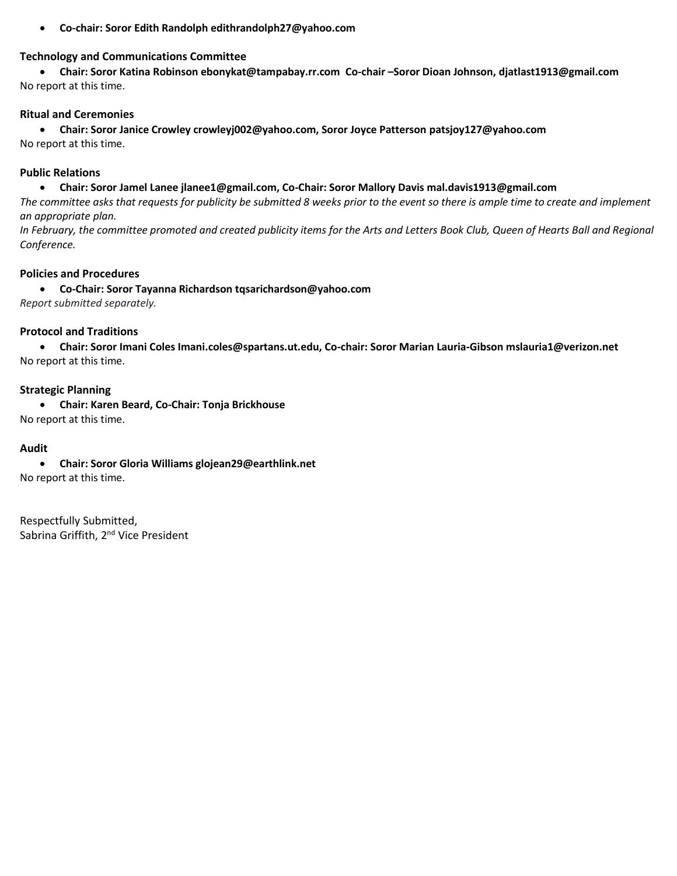• **Co-chair: Soror Edith Randolph edithrandolph27@yahoo.com**

#### **Technology and Communications Committee**

• **Chair: Soror Katina Robinson ebonykat@tampabay.rr.com Co-chair –Soror Dioan Johnson, djatlast1913@gmail.com** No report at this time.

#### **Ritual and Ceremonies**

• **Chair: Soror Janice Crowley crowleyj002@yahoo.com, Soror Joyce Patterson patsjoy127@yahoo.com** No report at this time.

#### **Public Relations**

#### • **Chair: Soror Jamel Lanee jlanee1@gmail.com, Co-Chair: Soror Mallory Davis mal.davis1913@gmail.com**

*The committee asks that requests for publicity be submitted 8 weeks prior to the event so there is ample time to create and implement an appropriate plan.* 

*In February, the committee promoted and created publicity items for the Arts and Letters Book Club, Queen of Hearts Ball and Regional Conference.*

#### **Policies and Procedures**

• **Co-Chair: Soror Tayanna Richardson tqsarichardson@yahoo.com**

*Report submitted separately.*

#### **Protocol and Traditions**

• **Chair: Soror Imani Coles Imani.coles@spartans.ut.edu, Co-chair: Soror Marian Lauria-Gibson mslauria1@verizon.net** No report at this time.

#### **Strategic Planning**

• **Chair: Karen Beard, Co-Chair: Tonja Brickhouse**

No report at this time.

#### **Audit**

• **Chair: Soror Gloria Williams glojean29@earthlink.net**

No report at this time.

Respectfully Submitted, Sabrina Griffith, 2<sup>nd</sup> Vice President